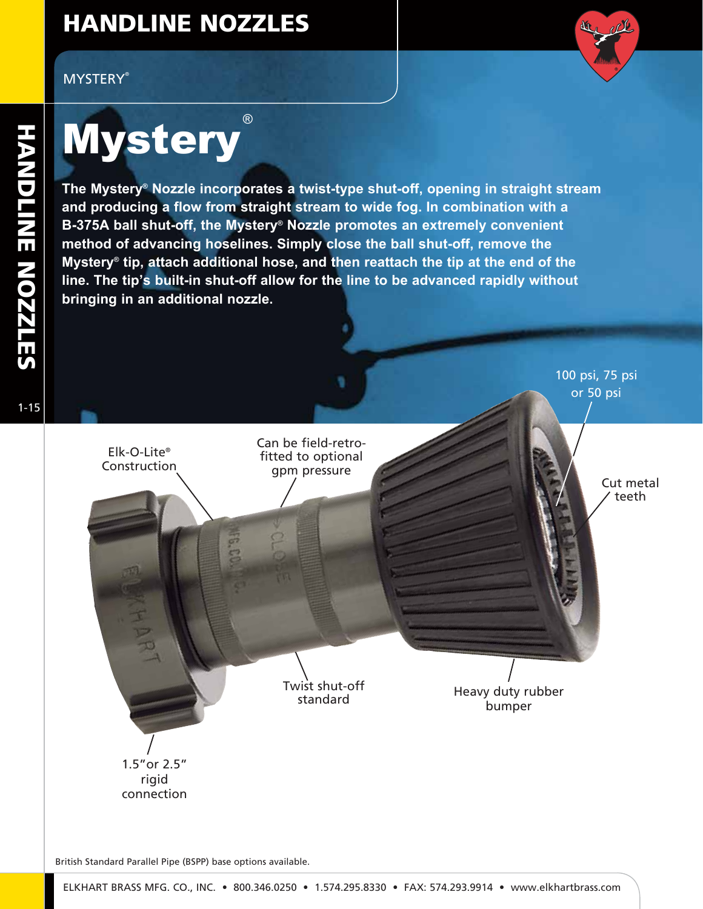# HANDLINE NOZZLES

#### **MYSTERY®**



### **Mystery** ®

Elk-O-Lite® Construction

**The Mystery® Nozzle incorporates a twist-type shut-off, opening in straight stream and producing a flow from straight stream to wide fog. In combination with a B-375A ball shut-off, the Mystery® Nozzle promotes an extremely convenient method of advancing hoselines. Simply close the ball shut-off, remove the Mystery® tip, attach additional hose, and then reattach the tip at the end of the line. The tip's built-in shut-off allow for the line to be advanced rapidly without bringing in an additional nozzle.**

> Can be field-retrofitted to optional gpm pressure

1-15

100 psi, 75 psi or 50 psi

> Cut metal teeth

Twist shut-off standard

Heavy duty rubber bumper

1.5"or 2.5" rigid connection

British Standard Parallel Pipe (BSPP) base options available.